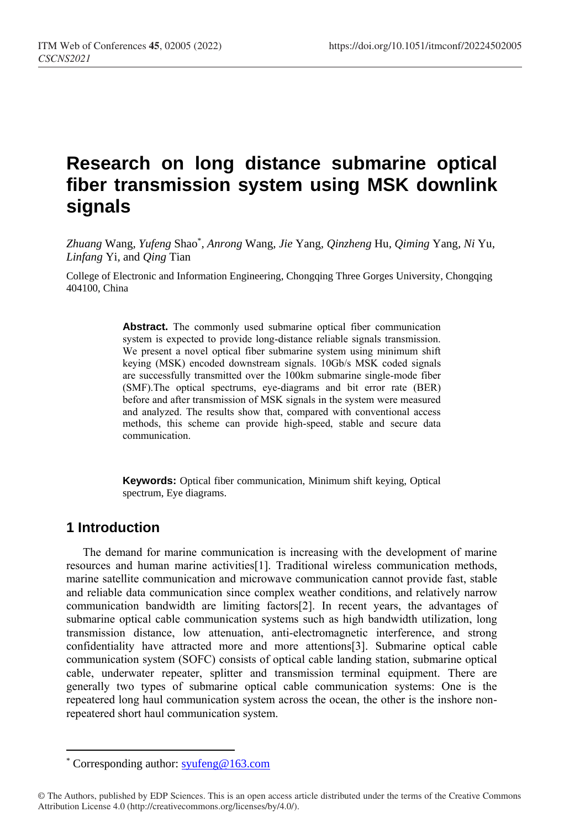# **Research on long distance submarine optical fiber transmission system using MSK downlink signals**

*Zhuang* Wang*, Yufeng* Shao\* *, Anrong* Wang*, Jie* Yang*, Qinzheng* Hu*, Qiming* Yang*, Ni* Yu*, Linfang* Yi*,* and *Qing* Tian

College of Electronic and Information Engineering, Chongqing Three Gorges University, Chongqing 404100, China

> **Abstract.** The commonly used submarine optical fiber communication system is expected to provide long-distance reliable signals transmission. We present a novel optical fiber submarine system using minimum shift keying (MSK) encoded downstream signals. 10Gb/s MSK coded signals are successfully transmitted over the 100km submarine single-mode fiber (SMF).The optical spectrums, eye-diagrams and bit error rate (BER) before and after transmission of MSK signals in the system were measured and analyzed. The results show that, compared with conventional access methods, this scheme can provide high-speed, stable and secure data communication.

> **Keywords:** Optical fiber communication, Minimum shift keying, Optical spectrum, Eye diagrams.

#### **1 Introduction**

 $\overline{a}$ 

The demand for marine communication is increasing with the development of marine resources and human marine activities[1]. Traditional wireless communication methods, marine satellite communication and microwave communication cannot provide fast, stable and reliable data communication since complex weather conditions, and relatively narrow communication bandwidth are limiting factors[2]. In recent years, the advantages of submarine optical cable communication systems such as high bandwidth utilization, long transmission distance, low attenuation, anti-electromagnetic interference, and strong confidentiality have attracted more and more attentions[3]. Submarine optical cable communication system (SOFC) consists of optical cable landing station, submarine optical cable, underwater repeater, splitter and transmission terminal equipment. There are generally two types of submarine optical cable communication systems: One is the repeatered long haul communication system across the ocean, the other is the inshore nonrepeatered short haul communication system.

<sup>\*</sup> Corresponding author: [syufeng@163.com](mailto:syufeng@163.com)

<sup>©</sup> The Authors, published by EDP Sciences. This is an open access article distributed under the terms of the Creative Commons Attribution License 4.0 (http://creativecommons.org/licenses/by/4.0/).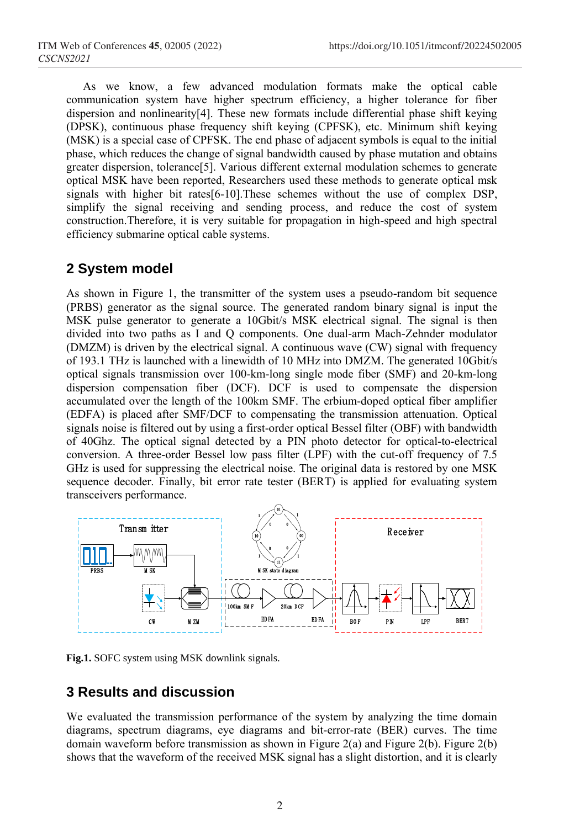As we know, a few advanced modulation formats make the optical cable communication system have higher spectrum efficiency, a higher tolerance for fiber dispersion and nonlinearity[4]. These new formats include differential phase shift keying (DPSK), continuous phase frequency shift keying (CPFSK), etc. Minimum shift keying (MSK) is a special case of CPFSK. The end phase of adjacent symbols is equal to the initial phase, which reduces the change of signal bandwidth caused by phase mutation and obtains greater dispersion, tolerance[5]. Various different external modulation schemes to generate optical MSK have been reported, Researchers used these methods to generate optical msk signals with higher bit rates[6-10].These schemes without the use of complex DSP, simplify the signal receiving and sending process, and reduce the cost of system construction.Therefore, it is very suitable for propagation in high-speed and high spectral efficiency submarine optical cable systems.

### **2 System model**

As shown in Figure 1, the transmitter of the system uses a pseudo-random bit sequence (PRBS) generator as the signal source. The generated random binary signal is input the MSK pulse generator to generate a 10Gbit/s MSK electrical signal. The signal is then divided into two paths as I and Q components. One dual-arm Mach-Zehnder modulator (DMZM) is driven by the electrical signal. A continuous wave (CW) signal with frequency of 193.1 THz is launched with a linewidth of 10 MHz into DMZM. The generated 10Gbit/s optical signals transmission over 100-km-long single mode fiber (SMF) and 20-km-long dispersion compensation fiber (DCF). DCF is used to compensate the dispersion accumulated over the length of the 100km SMF. The erbium-doped optical fiber amplifier (EDFA) is placed after SMF/DCF to compensating the transmission attenuation. Optical signals noise is filtered out by using a first-order optical Bessel filter (OBF) with bandwidth of 40Ghz. The optical signal detected by a PIN photo detector for optical-to-electrical conversion. A three-order Bessel low pass filter (LPF) with the cut-off frequency of 7.5 GHz is used for suppressing the electrical noise. The original data is restored by one MSK sequence decoder. Finally, bit error rate tester (BERT) is applied for evaluating system transceivers performance. compensation fiber (DCF). DCF is used to compensate the dover the length of the 100km SMF. The erbium-doped optical fi<br>placed after SMF/DCF to compensating the transmission attenua<br>e is filtered out by using a first-order



**Fig.1.** SOFC system using MSK downlink signals.

# **3 Results and discussion**

We evaluated the transmission performance of the system by analyzing the time domain diagrams, spectrum diagrams, eye diagrams and bit-error-rate (BER) curves. The time domain waveform before transmission as shown in Figure 2(a) and Figure 2(b). Figure 2(b) shows that the waveform of the received MSK signal has a slight distortion, and it is clearly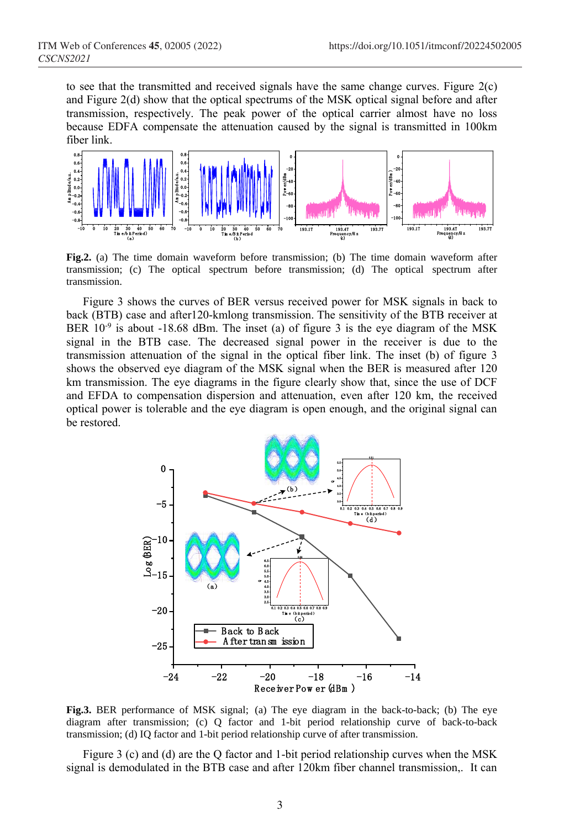to see that the transmitted and received signals have the same change curves. Figure 2(c) and Figure 2(d) show that the optical spectrums of the MSK optical signal before and after transmission, respectively. The peak power of the optical carrier almost have no loss because EDFA compensate the attenuation caused by the signal is transmitted in 100km fiber link.



**Fig.2.** (a) The time domain waveform before transmission; (b) The time domain waveform after transmission; (c) The optical spectrum before transmission; (d) The optical spectrum after transmission.

Figure 3 shows the curves of BER versus received power for MSK signals in back to back (BTB) case and after120-kmlong transmission. The sensitivity of the BTB receiver at BER  $10^{-9}$  is about -18.68 dBm. The inset (a) of figure 3 is the eye diagram of the MSK signal in the BTB case. The decreased signal power in the receiver is due to the transmission attenuation of the signal in the optical fiber link. The inset (b) of figure 3 shows the observed eye diagram of the MSK signal when the BER is measured after 120 km transmission. The eye diagrams in the figure clearly show that, since the use of DCF and EFDA to compensation dispersion and attenuation, even after 120 km, the received optical power is tolerable and the eye diagram is open enough, and the original signal can be restored. The intervalse is due to the<br>ink. The inset (b) of figure 3<br>ae BER is measured after 120<br>ow that, since the use of DCF<br>en after 120 km, the received<br>gh, and the original signal can<br>be shown in the original signal can<br> $\frac{$ 



**Fig.3.** BER performance of MSK signal; (a) The eye diagram in the back-to-back; (b) The eye diagram after transmission; (c) Q factor and 1-bit period relationship curve of back-to-back transmission; (d) IQ factor and 1-bit period relationship curve of after transmission.

Figure 3 (c) and (d) are the Q factor and 1-bit period relationship curves when the MSK signal is demodulated in the BTB case and after 120km fiber channel transmission,. It can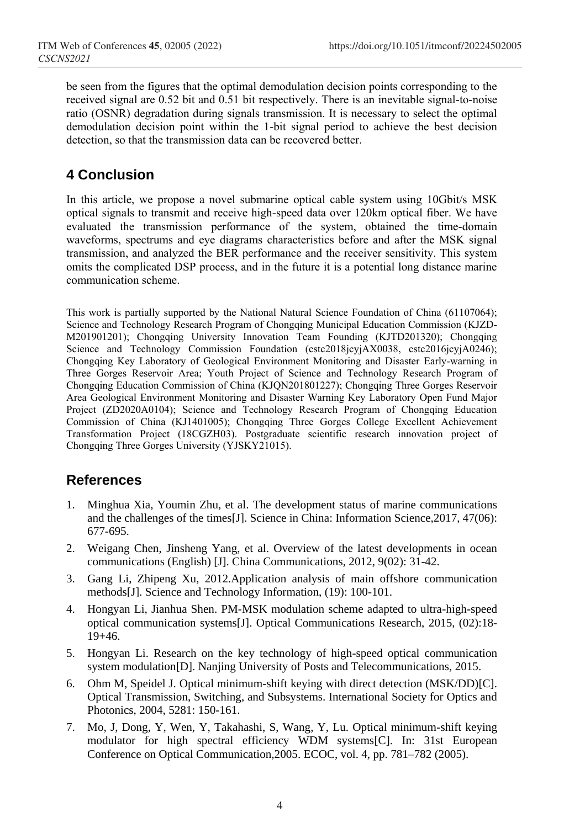be seen from the figures that the optimal demodulation decision points corresponding to the received signal are 0.52 bit and 0.51 bit respectively. There is an inevitable signal-to-noise ratio (OSNR) degradation during signals transmission. It is necessary to select the optimal demodulation decision point within the 1-bit signal period to achieve the best decision detection, so that the transmission data can be recovered better.

# **4 Conclusion**

In this article, we propose a novel submarine optical cable system using 10Gbit/s MSK optical signals to transmit and receive high-speed data over 120km optical fiber. We have evaluated the transmission performance of the system, obtained the time-domain waveforms, spectrums and eye diagrams characteristics before and after the MSK signal transmission, and analyzed the BER performance and the receiver sensitivity. This system omits the complicated DSP process, and in the future it is a potential long distance marine communication scheme.

This work is partially supported by the National Natural Science Foundation of China (61107064); Science and Technology Research Program of Chongqing Municipal Education Commission (KJZD-M201901201); Chongqing University Innovation Team Founding (KJTD201320); Chongqing Science and Technology Commission Foundation (cstc2018jcyjAX0038, cstc2016jcyjA0246); Chongqing Key Laboratory of Geological Environment Monitoring and Disaster Early-warning in Three Gorges Reservoir Area; Youth Project of Science and Technology Research Program of Chongqing Education Commission of China (KJQN201801227); Chongqing Three Gorges Reservoir Area Geological Environment Monitoring and Disaster Warning Key Laboratory Open Fund Major Project (ZD2020A0104); Science and Technology Research Program of Chongqing Education Commission of China (KJ1401005); Chongqing Three Gorges College Excellent Achievement Transformation Project (18CGZH03). Postgraduate scientific research innovation project of Chongqing Three Gorges University (YJSKY21015).

## **References**

- 1. Minghua Xia, Youmin Zhu, et al. The development status of marine communications and the challenges of the times[J]. Science in China: Information Science,2017, 47(06): 677-695.
- 2. Weigang Chen, Jinsheng Yang, et al. Overview of the latest developments in ocean communications (English) [J]. China Communications, 2012, 9(02): 31-42.
- 3. Gang Li, Zhipeng Xu, 2012.Application analysis of main offshore communication methods[J]. Science and Technology Information, (19): 100-101.
- 4. Hongyan Li, Jianhua Shen. PM-MSK modulation scheme adapted to ultra-high-speed optical communication systems[J]. Optical Communications Research, 2015, (02):18- 19+46.
- 5. Hongyan Li. Research on the key technology of high-speed optical communication system modulation[D]. Nanjing University of Posts and Telecommunications, 2015.
- 6. Ohm M, Speidel J. Optical minimum-shift keying with direct detection (MSK/DD)[C]. Optical Transmission, Switching, and Subsystems. International Society for Optics and Photonics, 2004, 5281: 150-161.
- 7. Mo, J, Dong, Y, Wen, Y, Takahashi, S, Wang, Y, Lu. Optical minimum-shift keying modulator for high spectral efficiency WDM systems[C]. In: 31st European Conference on Optical Communication,2005. ECOC, vol. 4, pp. 781–782 (2005).